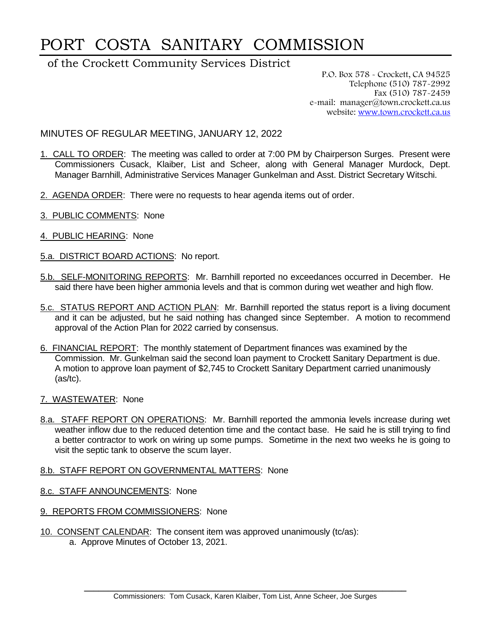# PORT COSTA SANITARY COMMISSION

# of the Crockett Community Services District

P.O. Box 578 - Crockett, CA 94525 Telephone (510) 787-2992 Fax (510) 787-2459 e-mail: manager@town.crockett.ca.us website: [www.town.crockett.ca.us](http://www.town.crockett.ca.us/)

MINUTES OF REGULAR MEETING, JANUARY 12, 2022

- 1. CALL TO ORDER: The meeting was called to order at 7:00 PM by Chairperson Surges. Present were Commissioners Cusack, Klaiber, List and Scheer, along with General Manager Murdock, Dept. Manager Barnhill, Administrative Services Manager Gunkelman and Asst. District Secretary Witschi.
- 2. AGENDA ORDER: There were no requests to hear agenda items out of order.
- 3. PUBLIC COMMENTS: None
- 4. PUBLIC HEARING: None
- 5.a. DISTRICT BOARD ACTIONS: No report.
- 5.b. SELF-MONITORING REPORTS: Mr. Barnhill reported no exceedances occurred in December. He said there have been higher ammonia levels and that is common during wet weather and high flow.
- 5.c. STATUS REPORT AND ACTION PLAN: Mr. Barnhill reported the status report is a living document and it can be adjusted, but he said nothing has changed since September. A motion to recommend approval of the Action Plan for 2022 carried by consensus.
- 6. FINANCIAL REPORT: The monthly statement of Department finances was examined by the Commission. Mr. Gunkelman said the second loan payment to Crockett Sanitary Department is due. A motion to approve loan payment of \$2,745 to Crockett Sanitary Department carried unanimously (as/tc).
- 7. WASTEWATER: None
- 8.a. STAFF REPORT ON OPERATIONS: Mr. Barnhill reported the ammonia levels increase during wet weather inflow due to the reduced detention time and the contact base. He said he is still trying to find a better contractor to work on wiring up some pumps. Sometime in the next two weeks he is going to visit the septic tank to observe the scum layer.

#### 8.b. STAFF REPORT ON GOVERNMENTAL MATTERS: None

- 8.c. STAFF ANNOUNCEMENTS: None
- 9. REPORTS FROM COMMISSIONERS: None
- 10. CONSENT CALENDAR: The consent item was approved unanimously (tc/as): a. Approve Minutes of October 13, 2021.